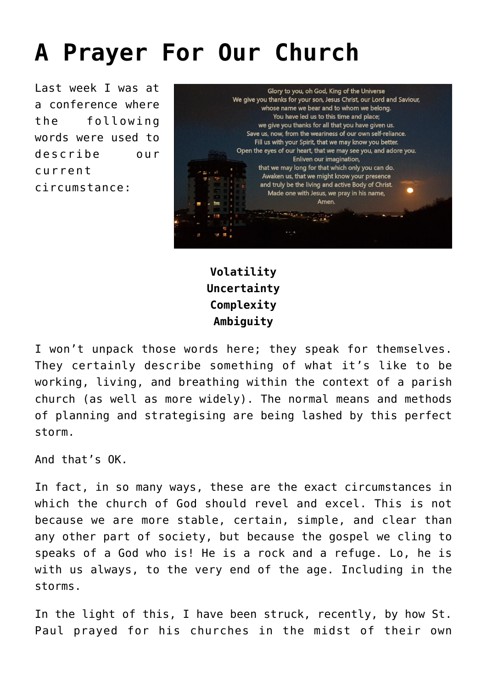## **[A Prayer For Our Church](https://briggs.id.au/jour/2021/11/a-prayer-for-our-church/)**

Last week I was at a conference where the following words were used to describe our current circumstance:



## **Volatility Uncertainty Complexity Ambiguity**

I won't unpack those words here; they speak for themselves. They certainly describe something of what it's like to be working, living, and breathing within the context of a parish church (as well as more widely). The normal means and methods of planning and strategising are being lashed by this perfect storm.

And that's OK.

In fact, in so many ways, these are the exact circumstances in which the church of God should revel and excel. This is not because we are more stable, certain, simple, and clear than any other part of society, but because the gospel we cling to speaks of a God who is! He is a rock and a refuge. Lo, he is with us always, to the very end of the age. Including in the storms.

In the light of this, I have been struck, recently, by how St. Paul prayed for his churches in the midst of their own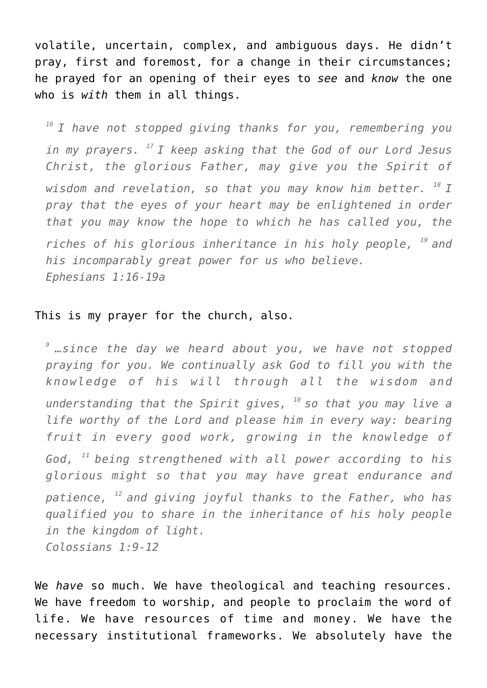volatile, uncertain, complex, and ambiguous days. He didn't pray, first and foremost, for a change in their circumstances; he prayed for an opening of their eyes to *see* and *know* the one who is *with* them in all things.

*<sup>16</sup>I have not stopped giving thanks for you, remembering you in my prayers. <sup>17</sup>I keep asking that the God of our Lord Jesus Christ, the glorious Father, may give you the Spirit of wisdom and revelation, so that you may know him better. <sup>18</sup>I pray that the eyes of your heart may be enlightened in order that you may know the hope to which he has called you, the riches of his glorious inheritance in his holy people, <sup>19</sup>and his incomparably great power for us who believe. Ephesians 1:16-19a*

## This is my prayer for the church, also.

*<sup>9</sup>…since the day we heard about you, we have not stopped praying for you. We continually ask God to fill you with the knowledge of his will through all the wisdom and understanding that the Spirit gives, <sup>10</sup>so that you may live a life worthy of the Lord and please him in every way: bearing fruit in every good work, growing in the knowledge of God, <sup>11</sup>being strengthened with all power according to his glorious might so that you may have great endurance and patience, <sup>12</sup>and giving joyful thanks to the Father, who has qualified you to share in the inheritance of his holy people in the kingdom of light. Colossians 1:9-12*

We *have* so much. We have theological and teaching resources. We have freedom to worship, and people to proclaim the word of life. We have resources of time and money. We have the necessary institutional frameworks. We absolutely have the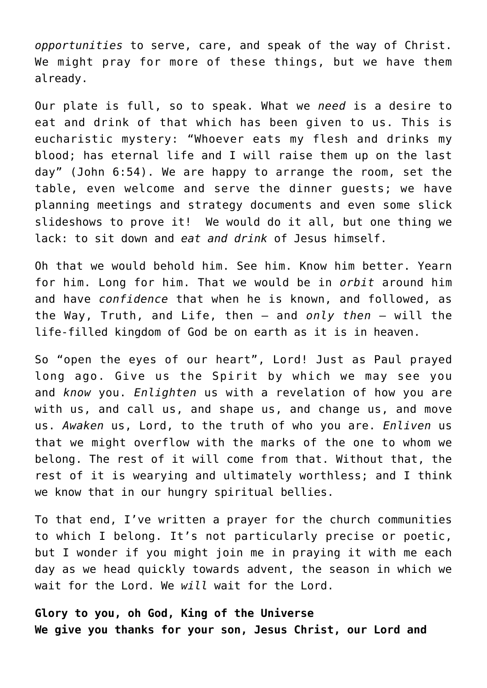*opportunities* to serve, care, and speak of the way of Christ. We might pray for more of these things, but we have them already.

Our plate is full, so to speak. What we *need* is a desire to eat and drink of that which has been given to us. This is eucharistic mystery: "Whoever eats my flesh and drinks my blood; has eternal life and I will raise them up on the last day" (John 6:54). We are happy to arrange the room, set the table, even welcome and serve the dinner guests; we have planning meetings and strategy documents and even some slick slideshows to prove it! We would do it all, but one thing we lack: to sit down and *eat and drink* of Jesus himself.

Oh that we would behold him. See him. Know him better. Yearn for him. Long for him. That we would be in *orbit* around him and have *confidence* that when he is known, and followed, as the Way, Truth, and Life, then – and *only then* – will the life-filled kingdom of God be on earth as it is in heaven.

So "open the eyes of our heart", Lord! Just as Paul prayed long ago. Give us the Spirit by which we may see you and *know* you. *Enlighten* us with a revelation of how you are with us, and call us, and shape us, and change us, and move us. *Awaken* us, Lord, to the truth of who you are. *Enliven* us that we might overflow with the marks of the one to whom we belong. The rest of it will come from that. Without that, the rest of it is wearying and ultimately worthless; and I think we know that in our hungry spiritual bellies.

To that end, I've written a prayer for the church communities to which I belong. It's not particularly precise or poetic, but I wonder if you might join me in praying it with me each day as we head quickly towards advent, the season in which we wait for the Lord. We *will* wait for the Lord.

**Glory to you, oh God, King of the Universe We give you thanks for your son, Jesus Christ, our Lord and**